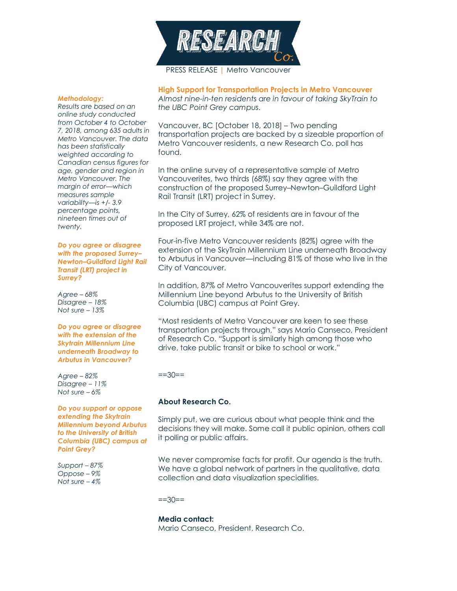

## *Methodology:*

*Results are based on an online study conducted from October 4 to October 7, 2018, among 635 adults in Metro Vancouver. The data has been statistically weighted according to Canadian census figures for age, gender and region in Metro Vancouver. The margin of error—which measures sample variability—is +/- 3.9 percentage points, nineteen times out of twenty.*

*Do you agree or disagree with the proposed Surrey– Newton–Guildford Light Rail Transit (LRT) project in Surrey?*

*Agree – 68% Disagree – 18% Not sure – 13%*

*Do you agree or disagree with the extension of the Skytrain Millennium Line underneath Broadway to Arbutus in Vancouver?*

*Agree – 82% Disagree – 11% Not sure – 6%*

*Do you support or oppose extending the Skytrain Millennium beyond Arbutus to the University of British Columbia (UBC) campus at Point Grey?*

*Support – 87% Oppose – 9% Not sure – 4%*

**High Support for Transportation Projects in Metro Vancouver** *Almost nine-in-ten residents are in favour of taking SkyTrain to the UBC Point Grey campus.*

Vancouver, BC [October 18, 2018] – Two pending transportation projects are backed by a sizeable proportion of Metro Vancouver residents, a new Research Co. poll has found.

In the online survey of a representative sample of Metro Vancouverites, two thirds (68%) say they agree with the construction of the proposed Surrey–Newton–Guildford Light Rail Transit (LRT) project in Surrey.

In the City of Surrey, 62% of residents are in favour of the proposed LRT project, while 34% are not.

Four-in-five Metro Vancouver residents (82%) agree with the extension of the SkyTrain Millennium Line underneath Broadway to Arbutus in Vancouver—including 81% of those who live in the City of Vancouver.

In addition, 87% of Metro Vancouverites support extending the Millennium Line beyond Arbutus to the University of British Columbia (UBC) campus at Point Grey.

"Most residents of Metro Vancouver are keen to see these transportation projects through," says Mario Canseco, President of Research Co. "Support is similarly high among those who drive, take public transit or bike to school or work."

 $==30==$ 

## **About Research Co.**

Simply put, we are curious about what people think and the decisions they will make. Some call it public opinion, others call it polling or public affairs.

We never compromise facts for profit. Our agenda is the truth. We have a global network of partners in the qualitative, data collection and data visualization specialities.

 $==30==$ 

**Media contact:**

Mario Canseco, President, Research Co.